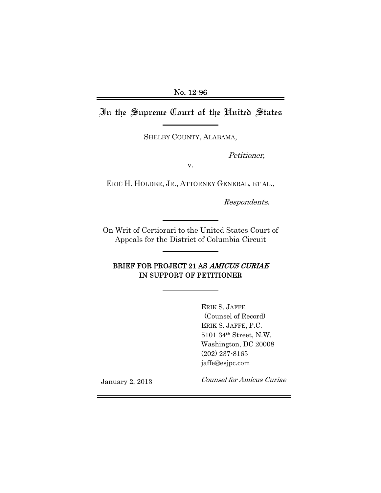In the Supreme Court of the United States

SHELBY COUNTY, ALABAMA,

Petitioner,

v.

ERIC H. HOLDER, JR., ATTORNEY GENERAL, ET AL.,

Respondents.

On Writ of Certiorari to the United States Court of Appeals for the District of Columbia Circuit

### BRIEF FOR PROJECT 21 AS AMICUS CURIAE IN SUPPORT OF PETITIONER

ERIK S. JAFFE (Counsel of Record) ERIK S. JAFFE, P.C. 5101 34th Street, N.W. Washington, DC 20008 (202) 237-8165 jaffe@esjpc.com

January 2, 2013

Counsel for Amicus Curiae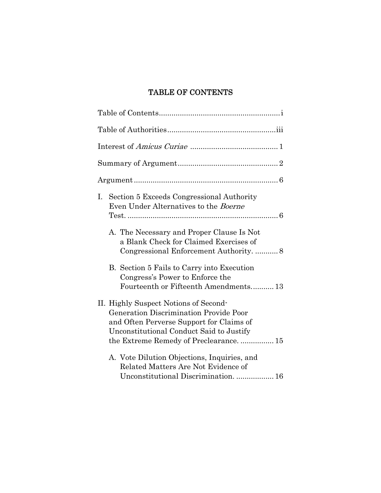# TABLE OF CONTENTS

| I. Section 5 Exceeds Congressional Authority<br>Even Under Alternatives to the <i>Boerne</i>                                                                                                                            |
|-------------------------------------------------------------------------------------------------------------------------------------------------------------------------------------------------------------------------|
| A. The Necessary and Proper Clause Is Not<br>a Blank Check for Claimed Exercises of<br>Congressional Enforcement Authority.  8                                                                                          |
| B. Section 5 Fails to Carry into Execution<br>Congress's Power to Enforce the<br>Fourteenth or Fifteenth Amendments13                                                                                                   |
| II. Highly Suspect Notions of Second-<br><b>Generation Discrimination Provide Poor</b><br>and Often Perverse Support for Claims of<br>Unconstitutional Conduct Said to Justify<br>the Extreme Remedy of Preclearance 15 |
| A. Vote Dilution Objections, Inquiries, and<br>Related Matters Are Not Evidence of<br>Unconstitutional Discrimination.  16                                                                                              |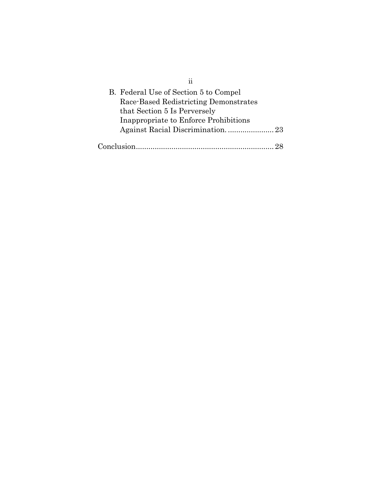| ij                                    |
|---------------------------------------|
| B. Federal Use of Section 5 to Compel |
| Race-Based Redistricting Demonstrates |
| that Section 5 Is Perversely          |
| Inappropriate to Enforce Prohibitions |
|                                       |
| Conclusion                            |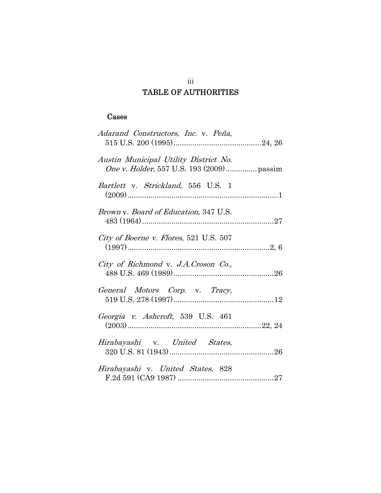# TABLE OF AUTHORITIES

### Cases

| Adarand Constructors, Inc. v. Peña,               |
|---------------------------------------------------|
| Austin Municipal Utility District No.             |
| <i>Bartlett</i> v. <i>Strickland</i> , 556 U.S. 1 |
| <i>Brown v. Board of Education, 347 U.S.</i>      |
| City of Boerne v. Flores, 521 U.S. 507            |
| City of Richmond v. J.A.Croson Co.,               |
| General Motors Corp. v. Tracy,                    |
| Georgia v. Ashcroft, 539 U.S. 461                 |
| Hirabayashi v. United States,                     |
| Hirabayashi v. United States, 828                 |

# iii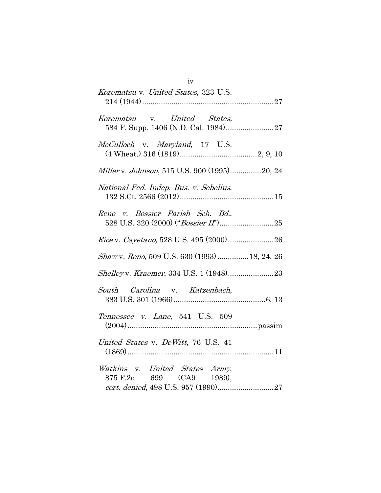| Korematsu v. United States, 323 U.S.                                                              |
|---------------------------------------------------------------------------------------------------|
| Korematsu v. United States,                                                                       |
| McCulloch v. Maryland, 17 U.S.                                                                    |
| Miller v. Johnson, 515 U.S. 900 (1995)20, 24                                                      |
| National Fed. Indep. Bus. v. Sebelius,                                                            |
| Reno v. Bossier Parish Sch. Bd.,                                                                  |
|                                                                                                   |
| Shaw v. Reno, 509 U.S. 630 (1993) 18, 24, 26                                                      |
|                                                                                                   |
| South Carolina v. Katzenbach,                                                                     |
| Tennessee v. Lane, 541 U.S. 509                                                                   |
| United States v. DeWitt, 76 U.S. 41                                                               |
| Watkins v. United States Army,<br>875 F.2d 699 (CA9 1989),<br>cert. denied, 498 U.S. 957 (1990)27 |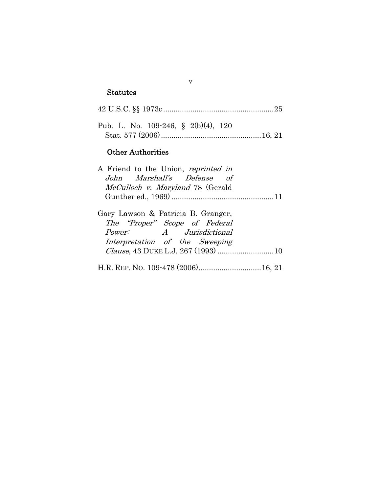## Statutes

| Pub. L. No. 109-246, § 2(b)(4), 120 |  |
|-------------------------------------|--|
| <b>Other Authorities</b>            |  |

v

|  | A Friend to the Union, <i>reprinted in</i> |  |
|--|--------------------------------------------|--|
|  | John Marshall's Defense of                 |  |
|  | McCulloch v. Maryland 78 (Gerald           |  |
|  |                                            |  |
|  |                                            |  |

| Gary Lawson & Patricia B. Granger,    |
|---------------------------------------|
| The "Proper" Scope of Federal         |
| <i>Power:</i> A <i>Jurisdictional</i> |
| Interpretation of the Sweeping        |
|                                       |
|                                       |

H.R. REP. NO. 109-478 (2006) .............................. 16, 21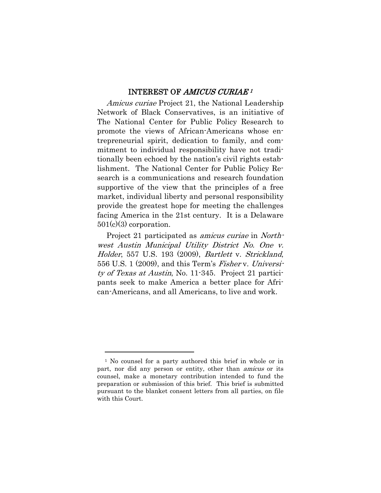#### INTEREST OF AMICUS CURIAE <sup>1</sup>

Amicus curiae Project 21, the National Leadership Network of Black Conservatives, is an initiative of The National Center for Public Policy Research to promote the views of African-Americans whose entrepreneurial spirit, dedication to family, and commitment to individual responsibility have not traditionally been echoed by the nation's civil rights establishment. The National Center for Public Policy Research is a communications and research foundation supportive of the view that the principles of a free market, individual liberty and personal responsibility provide the greatest hope for meeting the challenges facing America in the 21st century. It is a Delaware 501(c)(3) corporation.

Project 21 participated as *amicus curiae* in *North*west Austin Municipal Utility District No. One v. Holder, 557 U.S. 193 (2009), Bartlett v. Strickland, 556 U.S. 1 (2009), and this Term's Fisher v. University of Texas at Austin, No. 11-345. Project 21 participants seek to make America a better place for African-Americans, and all Americans, to live and work.

l

<sup>1</sup> No counsel for a party authored this brief in whole or in part, nor did any person or entity, other than *amicus* or its counsel, make a monetary contribution intended to fund the preparation or submission of this brief. This brief is submitted pursuant to the blanket consent letters from all parties, on file with this Court.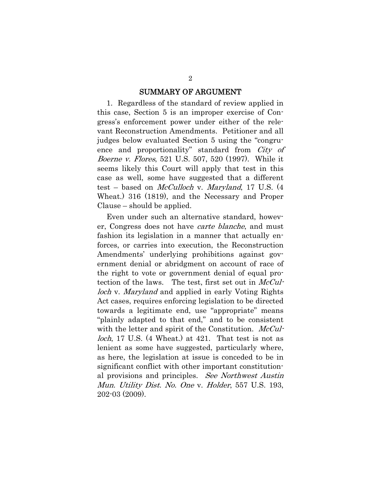#### SUMMARY OF ARGUMENT

1. Regardless of the standard of review applied in this case, Section 5 is an improper exercise of Congress's enforcement power under either of the relevant Reconstruction Amendments. Petitioner and all judges below evaluated Section 5 using the "congruence and proportionality" standard from City of Boerne v. Flores, 521 U.S. 507, 520 (1997). While it seems likely this Court will apply that test in this case as well, some have suggested that a different test – based on *McCulloch* v. *Maryland*, 17 U.S.  $(4)$ Wheat.) 316 (1819), and the Necessary and Proper Clause – should be applied.

Even under such an alternative standard, however, Congress does not have carte blanche, and must fashion its legislation in a manner that actually enforces, or carries into execution, the Reconstruction Amendments' underlying prohibitions against government denial or abridgment on account of race of the right to vote or government denial of equal protection of the laws. The test, first set out in  $McCul$ loch v. Maryland and applied in early Voting Rights Act cases, requires enforcing legislation to be directed towards a legitimate end, use "appropriate" means "plainly adapted to that end," and to be consistent with the letter and spirit of the Constitution. McCulloch, 17 U.S. (4 Wheat.) at 421. That test is not as lenient as some have suggested, particularly where, as here, the legislation at issue is conceded to be in significant conflict with other important constitutional provisions and principles. See Northwest Austin Mun. Utility Dist. No. One v. Holder, 557 U.S. 193, 202-03 (2009).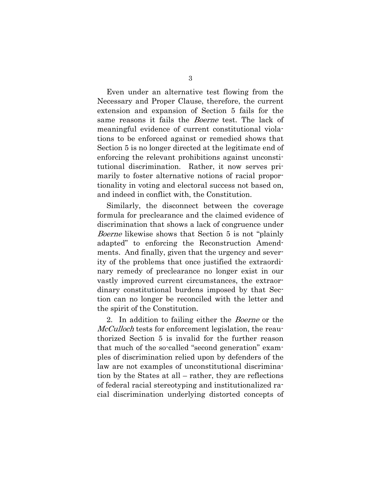Even under an alternative test flowing from the Necessary and Proper Clause, therefore, the current extension and expansion of Section 5 fails for the same reasons it fails the *Boerne* test. The lack of meaningful evidence of current constitutional violations to be enforced against or remedied shows that Section 5 is no longer directed at the legitimate end of enforcing the relevant prohibitions against unconstitutional discrimination. Rather, it now serves primarily to foster alternative notions of racial proportionality in voting and electoral success not based on, and indeed in conflict with, the Constitution.

Similarly, the disconnect between the coverage formula for preclearance and the claimed evidence of discrimination that shows a lack of congruence under Boerne likewise shows that Section 5 is not "plainly adapted" to enforcing the Reconstruction Amendments. And finally, given that the urgency and severity of the problems that once justified the extraordinary remedy of preclearance no longer exist in our vastly improved current circumstances, the extraordinary constitutional burdens imposed by that Section can no longer be reconciled with the letter and the spirit of the Constitution.

2. In addition to failing either the Boerne or the McCulloch tests for enforcement legislation, the reauthorized Section 5 is invalid for the further reason that much of the so-called "second generation" examples of discrimination relied upon by defenders of the law are not examples of unconstitutional discrimination by the States at all – rather, they are reflections of federal racial stereotyping and institutionalized racial discrimination underlying distorted concepts of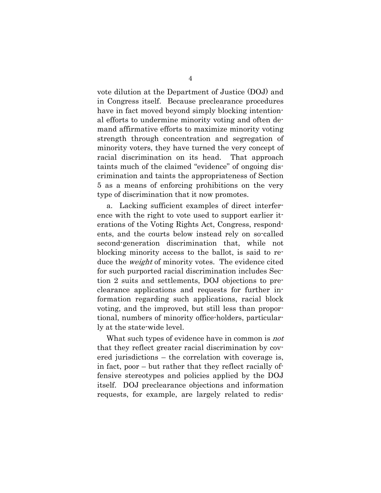vote dilution at the Department of Justice (DOJ) and in Congress itself. Because preclearance procedures have in fact moved beyond simply blocking intentional efforts to undermine minority voting and often demand affirmative efforts to maximize minority voting strength through concentration and segregation of minority voters, they have turned the very concept of racial discrimination on its head. That approach taints much of the claimed "evidence" of ongoing discrimination and taints the appropriateness of Section 5 as a means of enforcing prohibitions on the very type of discrimination that it now promotes.

a. Lacking sufficient examples of direct interference with the right to vote used to support earlier iterations of the Voting Rights Act, Congress, respondents, and the courts below instead rely on so-called second-generation discrimination that, while not blocking minority access to the ballot, is said to reduce the *weight* of minority votes. The evidence cited for such purported racial discrimination includes Section 2 suits and settlements, DOJ objections to preclearance applications and requests for further information regarding such applications, racial block voting, and the improved, but still less than proportional, numbers of minority office-holders, particularly at the state-wide level.

What such types of evidence have in common is *not* that they reflect greater racial discrimination by covered jurisdictions – the correlation with coverage is, in fact, poor – but rather that they reflect racially offensive stereotypes and policies applied by the DOJ itself. DOJ preclearance objections and information requests, for example, are largely related to redis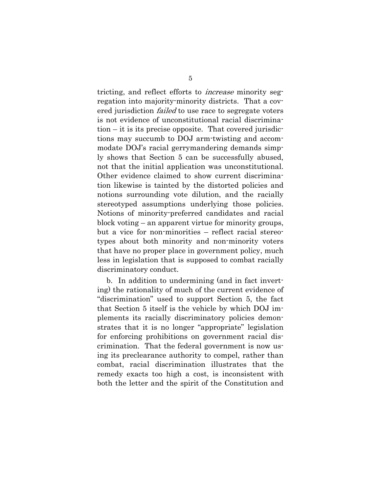tricting, and reflect efforts to increase minority segregation into majority-minority districts. That a covered jurisdiction *failed* to use race to segregate voters is not evidence of unconstitutional racial discrimination – it is its precise opposite. That covered jurisdictions may succumb to DOJ arm-twisting and accommodate DOJ's racial gerrymandering demands simply shows that Section 5 can be successfully abused, not that the initial application was unconstitutional. Other evidence claimed to show current discrimination likewise is tainted by the distorted policies and notions surrounding vote dilution, and the racially stereotyped assumptions underlying those policies. Notions of minority-preferred candidates and racial block voting – an apparent virtue for minority groups, but a vice for non-minorities – reflect racial stereotypes about both minority and non-minority voters that have no proper place in government policy, much less in legislation that is supposed to combat racially discriminatory conduct.

b. In addition to undermining (and in fact inverting) the rationality of much of the current evidence of "discrimination" used to support Section 5, the fact that Section 5 itself is the vehicle by which DOJ implements its racially discriminatory policies demonstrates that it is no longer "appropriate" legislation for enforcing prohibitions on government racial discrimination. That the federal government is now using its preclearance authority to compel, rather than combat, racial discrimination illustrates that the remedy exacts too high a cost, is inconsistent with both the letter and the spirit of the Constitution and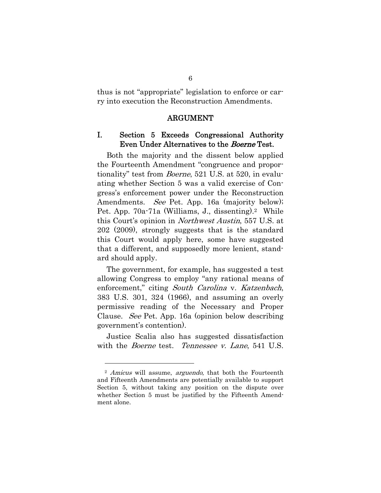thus is not "appropriate" legislation to enforce or carry into execution the Reconstruction Amendments.

#### ARGUMENT

#### I. Section 5 Exceeds Congressional Authority Even Under Alternatives to the Boerne Test.

Both the majority and the dissent below applied the Fourteenth Amendment "congruence and proportionality" test from Boerne, 521 U.S. at 520, in evaluating whether Section 5 was a valid exercise of Congress's enforcement power under the Reconstruction Amendments. *See* Pet. App. 16a (majority below); Pet. App. 70a-71a (Williams, J., dissenting).<sup>2</sup> While this Court's opinion in Northwest Austin, 557 U.S. at 202 (2009), strongly suggests that is the standard this Court would apply here, some have suggested that a different, and supposedly more lenient, standard should apply.

The government, for example, has suggested a test allowing Congress to employ "any rational means of enforcement," citing South Carolina v. Katzenbach, 383 U.S. 301, 324 (1966), and assuming an overly permissive reading of the Necessary and Proper Clause. See Pet. App. 16a (opinion below describing government's contention).

Justice Scalia also has suggested dissatisfaction with the *Boerne* test. Tennessee v. Lane, 541 U.S.

l

<sup>&</sup>lt;sup>2</sup> Amicus will assume, arguendo, that both the Fourteenth and Fifteenth Amendments are potentially available to support Section 5, without taking any position on the dispute over whether Section 5 must be justified by the Fifteenth Amendment alone.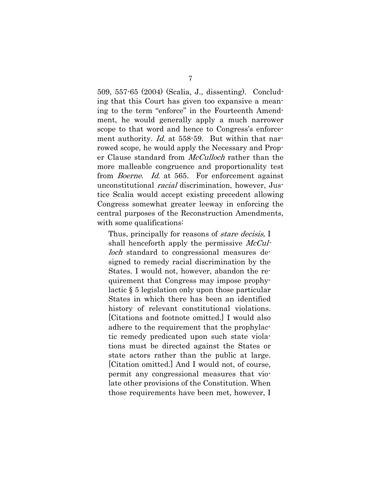509, 557-65 (2004) (Scalia, J., dissenting). Concluding that this Court has given too expansive a meaning to the term "enforce" in the Fourteenth Amendment, he would generally apply a much narrower scope to that word and hence to Congress's enforcement authority. *Id.* at 558-59. But within that narrowed scope, he would apply the Necessary and Proper Clause standard from *McCulloch* rather than the more malleable congruence and proportionality test from *Boerne.* Id. at 565. For enforcement against unconstitutional racial discrimination, however, Justice Scalia would accept existing precedent allowing Congress somewhat greater leeway in enforcing the central purposes of the Reconstruction Amendments, with some qualifications:

Thus, principally for reasons of *stare decisis*, I shall henceforth apply the permissive  $McCuI$ *loch* standard to congressional measures designed to remedy racial discrimination by the States. I would not, however, abandon the requirement that Congress may impose prophylactic § 5 legislation only upon those particular States in which there has been an identified history of relevant constitutional violations. [Citations and footnote omitted.] I would also adhere to the requirement that the prophylactic remedy predicated upon such state violations must be directed against the States or state actors rather than the public at large. [Citation omitted.] And I would not, of course, permit any congressional measures that violate other provisions of the Constitution. When those requirements have been met, however, I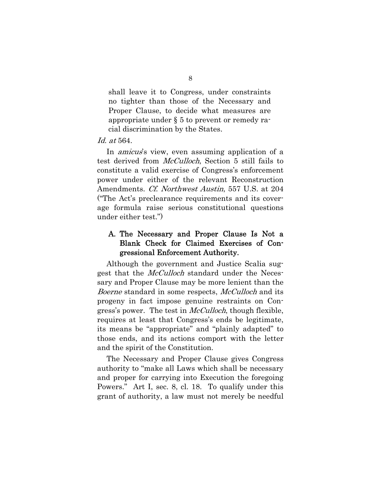shall leave it to Congress, under constraints no tighter than those of the Necessary and Proper Clause, to decide what measures are appropriate under § 5 to prevent or remedy racial discrimination by the States.

#### Id. at 564.

In *amicus*'s view, even assuming application of a test derived from McCulloch, Section 5 still fails to constitute a valid exercise of Congress's enforcement power under either of the relevant Reconstruction Amendments. Cf. Northwest Austin, 557 U.S. at 204 ("The Act's preclearance requirements and its coverage formula raise serious constitutional questions under either test.")

### A. The Necessary and Proper Clause Is Not a Blank Check for Claimed Exercises of Congressional Enforcement Authority.

Although the government and Justice Scalia suggest that the McCulloch standard under the Necessary and Proper Clause may be more lenient than the Boerne standard in some respects, McCulloch and its progeny in fact impose genuine restraints on Congress's power. The test in *McCulloch*, though flexible, requires at least that Congress's ends be legitimate, its means be "appropriate" and "plainly adapted" to those ends, and its actions comport with the letter and the spirit of the Constitution.

The Necessary and Proper Clause gives Congress authority to "make all Laws which shall be necessary and proper for carrying into Execution the foregoing Powers." Art I, sec. 8, cl. 18. To qualify under this grant of authority, a law must not merely be needful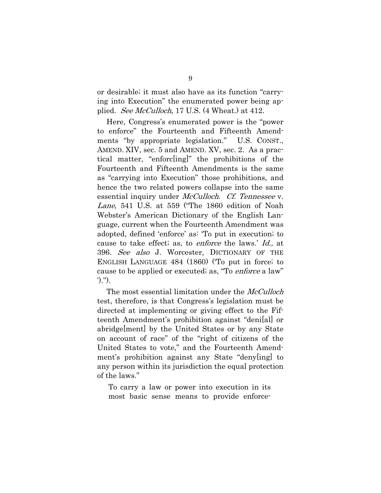or desirable; it must also have as its function "carrying into Execution" the enumerated power being applied. See McCulloch, 17 U.S. (4 Wheat.) at 412.

Here, Congress's enumerated power is the "power to enforce" the Fourteenth and Fifteenth Amendments "by appropriate legislation." U.S. CONST., AMEND. XIV, sec. 5 and AMEND. XV, sec. 2. As a practical matter, "enforc[ing]" the prohibitions of the Fourteenth and Fifteenth Amendments is the same as "carrying into Execution" those prohibitions, and hence the two related powers collapse into the same essential inquiry under *McCulloch. Cf. Tennessee* v. Lane, 541 U.S. at 559 ("The 1860 edition of Noah Webster's American Dictionary of the English Language, current when the Fourteenth Amendment was adopted, defined 'enforce' as: 'To put in execution; to cause to take effect; as, to enforce the laws.' Id., at 396. See also J. Worcester, DICTIONARY OF THE ENGLISH LANGUAGE 484 (1860) ('To put in force; to cause to be applied or executed; as, "To *enforce* a law" ').").

The most essential limitation under the *McCulloch* test, therefore, is that Congress's legislation must be directed at implementing or giving effect to the Fifteenth Amendment's prohibition against "deni[al] or abridge[ment] by the United States or by any State on account of race" of the "right of citizens of the United States to vote," and the Fourteenth Amendment's prohibition against any State "deny[ing] to any person within its jurisdiction the equal protection of the laws."

To carry a law or power into execution in its most basic sense means to provide enforce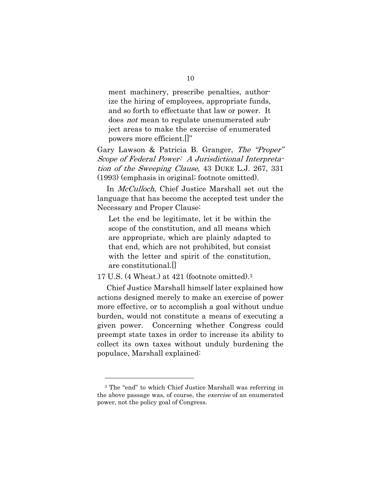ment machinery, prescribe penalties, authorize the hiring of employees, appropriate funds, and so forth to effectuate that law or power. It does *not* mean to regulate unenumerated subject areas to make the exercise of enumerated powers more efficient.[]"

Gary Lawson & Patricia B. Granger, The "Proper" Scope of Federal Power: A Jurisdictional Interpretation of the Sweeping Clause, 43 DUKE L.J. 267, 331 (1993) (emphasis in original; footnote omitted).

In *McCulloch*, Chief Justice Marshall set out the language that has become the accepted test under the Necessary and Proper Clause:

Let the end be legitimate, let it be within the scope of the constitution, and all means which are appropriate, which are plainly adapted to that end, which are not prohibited, but consist with the letter and spirit of the constitution, are constitutional.[]

17 U.S. (4 Wheat.) at 421 (footnote omitted).3

Chief Justice Marshall himself later explained how actions designed merely to make an exercise of power more effective, or to accomplish a goal without undue burden, would not constitute a means of executing a given power. Concerning whether Congress could preempt state taxes in order to increase its ability to collect its own taxes without unduly burdening the populace, Marshall explained:

l

<sup>3</sup> The "end" to which Chief Justice Marshall was referring in the above passage was, of course, the *exercise* of an enumerated power, not the policy goal of Congress.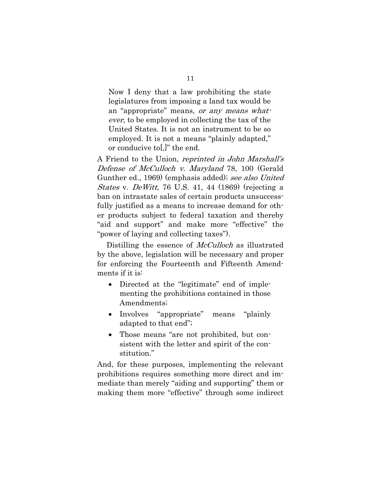Now I deny that a law prohibiting the state legislatures from imposing a land tax would be an "appropriate" means, or any means whatever, to be employed in collecting the tax of the United States. It is not an instrument to be so employed. It is not a means "plainly adapted," or conducive to[,]" the end.

A Friend to the Union, reprinted in John Marshall's Defense of McCulloch v. Maryland 78, 100 (Gerald Gunther ed., 1969) (emphasis added); see also United States v. DeWitt, 76 U.S. 41, 44 (1869) (rejecting a ban on intrastate sales of certain products unsuccessfully justified as a means to increase demand for other products subject to federal taxation and thereby "aid and support" and make more "effective" the "power of laying and collecting taxes").

Distilling the essence of *McCulloch* as illustrated by the above, legislation will be necessary and proper for enforcing the Fourteenth and Fifteenth Amendments if it is:

- Directed at the "legitimate" end of implementing the prohibitions contained in those Amendments;
- Involves "appropriate" means "plainly adapted to that end";
- Those means "are not prohibited, but consistent with the letter and spirit of the constitution."

And, for these purposes, implementing the relevant prohibitions requires something more direct and immediate than merely "aiding and supporting" them or making them more "effective" through some indirect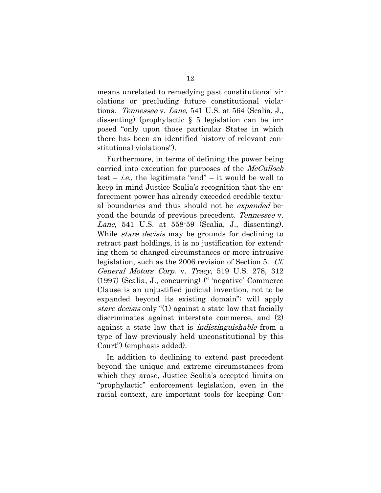means unrelated to remedying past constitutional violations or precluding future constitutional violations. Tennessee v. Lane, 541 U.S. at 564 (Scalia, J., dissenting) (prophylactic § 5 legislation can be imposed "only upon those particular States in which there has been an identified history of relevant constitutional violations").

Furthermore, in terms of defining the power being carried into execution for purposes of the *McCulloch* test – *i.e.*, the legitimate "end" – it would be well to keep in mind Justice Scalia's recognition that the enforcement power has already exceeded credible textual boundaries and thus should not be expanded beyond the bounds of previous precedent. Tennessee v. Lane, 541 U.S. at  $558-59$  (Scalia, J., dissenting). While *stare decisis* may be grounds for declining to retract past holdings, it is no justification for extending them to changed circumstances or more intrusive legislation, such as the 2006 revision of Section 5. Cf. General Motors Corp. v. Tracy, 519 U.S. 278, 312 (1997) (Scalia, J., concurring) (" 'negative' Commerce Clause is an unjustified judicial invention, not to be expanded beyond its existing domain"; will apply stare decisis only "(1) against a state law that facially discriminates against interstate commerce, and (2) against a state law that is *indistinguishable* from a type of law previously held unconstitutional by this Court") (emphasis added).

In addition to declining to extend past precedent beyond the unique and extreme circumstances from which they arose, Justice Scalia's accepted limits on "prophylactic" enforcement legislation, even in the racial context, are important tools for keeping Con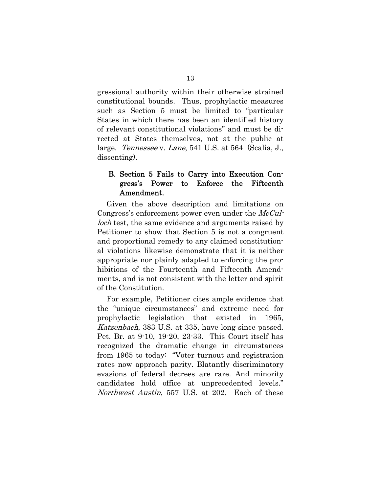gressional authority within their otherwise strained constitutional bounds. Thus, prophylactic measures such as Section 5 must be limited to "particular States in which there has been an identified history of relevant constitutional violations" and must be directed at States themselves, not at the public at large. Tennessee v. Lane, 541 U.S. at 564 (Scalia, J., dissenting).

#### B. Section 5 Fails to Carry into Execution Congress's Power to Enforce the Fifteenth Amendment.

Given the above description and limitations on Congress's enforcement power even under the *McCul*loch test, the same evidence and arguments raised by Petitioner to show that Section 5 is not a congruent and proportional remedy to any claimed constitutional violations likewise demonstrate that it is neither appropriate nor plainly adapted to enforcing the prohibitions of the Fourteenth and Fifteenth Amendments, and is not consistent with the letter and spirit of the Constitution.

For example, Petitioner cites ample evidence that the "unique circumstances" and extreme need for prophylactic legislation that existed in 1965, Katzenbach, 383 U.S. at 335, have long since passed. Pet. Br. at 9-10, 19-20, 23-33. This Court itself has recognized the dramatic change in circumstances from 1965 to today: "Voter turnout and registration rates now approach parity. Blatantly discriminatory evasions of federal decrees are rare. And minority candidates hold office at unprecedented levels." Northwest Austin, 557 U.S. at 202. Each of these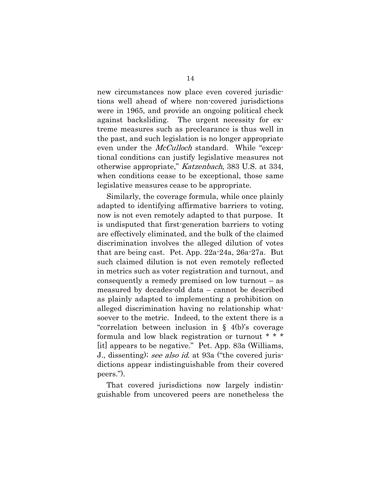new circumstances now place even covered jurisdictions well ahead of where non-covered jurisdictions were in 1965, and provide an ongoing political check against backsliding. The urgent necessity for extreme measures such as preclearance is thus well in the past, and such legislation is no longer appropriate even under the *McCulloch* standard. While "exceptional conditions can justify legislative measures not otherwise appropriate," Katzenbach, 383 U.S. at 334, when conditions cease to be exceptional, those same legislative measures cease to be appropriate.

Similarly, the coverage formula, while once plainly adapted to identifying affirmative barriers to voting, now is not even remotely adapted to that purpose. It is undisputed that first-generation barriers to voting are effectively eliminated, and the bulk of the claimed discrimination involves the alleged dilution of votes that are being cast. Pet. App. 22a-24a, 26a-27a. But such claimed dilution is not even remotely reflected in metrics such as voter registration and turnout, and consequently a remedy premised on low turnout – as measured by decades-old data – cannot be described as plainly adapted to implementing a prohibition on alleged discrimination having no relationship whatsoever to the metric. Indeed, to the extent there is a "correlation between inclusion in § 4(b)'s coverage formula and low black registration or turnout \* \* \* [it] appears to be negative." Pet. App. 83a (Williams, J., dissenting); see also id. at 93a ("the covered jurisdictions appear indistinguishable from their covered peers.").

That covered jurisdictions now largely indistinguishable from uncovered peers are nonetheless the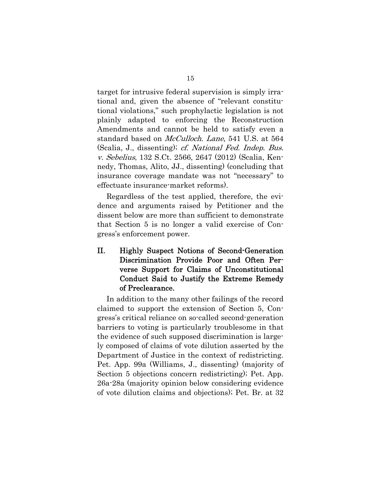target for intrusive federal supervision is simply irrational and, given the absence of "relevant constitutional violations," such prophylactic legislation is not plainly adapted to enforcing the Reconstruction Amendments and cannot be held to satisfy even a standard based on *McCulloch*. Lane, 541 U.S. at 564 (Scalia, J., dissenting); cf. National Fed. Indep. Bus. v. Sebelius, 132 S.Ct. 2566, 2647 (2012) (Scalia, Kennedy, Thomas, Alito, JJ., dissenting) (concluding that insurance coverage mandate was not "necessary" to effectuate insurance-market reforms).

Regardless of the test applied, therefore, the evidence and arguments raised by Petitioner and the dissent below are more than sufficient to demonstrate that Section 5 is no longer a valid exercise of Congress's enforcement power.

II. Highly Suspect Notions of Second-Generation Discrimination Provide Poor and Often Perverse Support for Claims of Unconstitutional Conduct Said to Justify the Extreme Remedy of Preclearance.

In addition to the many other failings of the record claimed to support the extension of Section 5, Congress's critical reliance on so-called second-generation barriers to voting is particularly troublesome in that the evidence of such supposed discrimination is largely composed of claims of vote dilution asserted by the Department of Justice in the context of redistricting. Pet. App. 99a (Williams, J., dissenting) (majority of Section 5 objections concern redistricting); Pet. App. 26a-28a (majority opinion below considering evidence of vote dilution claims and objections); Pet. Br. at 32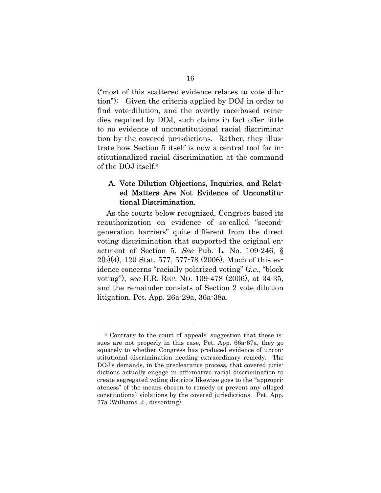("most of this scattered evidence relates to vote dilution"); Given the criteria applied by DOJ in order to find vote-dilution, and the overtly race-based remedies required by DOJ, such claims in fact offer little to no evidence of unconstitutional racial discrimination by the covered jurisdictions. Rather, they illustrate how Section 5 itself is now a central tool for institutionalized racial discrimination at the command of the DOJ itself.4

### A. Vote Dilution Objections, Inquiries, and Related Matters Are Not Evidence of Unconstitutional Discrimination.

As the courts below recognized, Congress based its reauthorization on evidence of so-called "secondgeneration barriers" quite different from the direct voting discrimination that supported the original enactment of Section 5. See Pub. L. No. 109-246, § 2(b)(4), 120 Stat. 577, 577-78 (2006). Much of this evidence concerns "racially polarized voting" (*i.e.*, "block" voting"), see H.R. REP. NO. 109-478 (2006), at 34-35, and the remainder consists of Section 2 vote dilution litigation. Pet. App. 26a-29a, 36a-38a.

l

<sup>4</sup> Contrary to the court of appeals' suggestion that these issues are not properly in this case, Pet. App. 66a-67a, they go squarely to whether Congress has produced evidence of unconstitutional discrimination needing extraordinary remedy. The DOJ's demands, in the preclearance process, that covered jurisdictions actually engage in affirmative racial discrimination to create segregated voting districts likewise goes to the "appropriateness" of the means chosen to remedy or prevent any alleged constitutional violations by the covered jurisdictions. Pet. App. 77a (Williams, J., dissenting)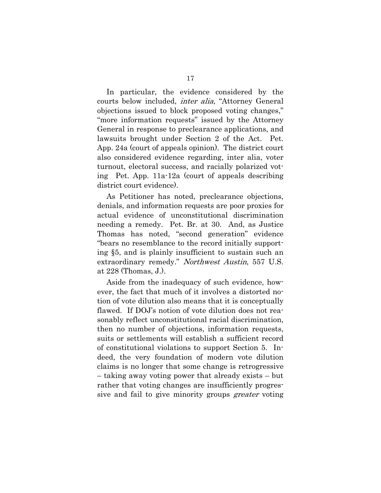In particular, the evidence considered by the courts below included, inter alia, "Attorney General objections issued to block proposed voting changes," "more information requests" issued by the Attorney General in response to preclearance applications, and lawsuits brought under Section 2 of the Act. Pet. App. 24a (court of appeals opinion). The district court also considered evidence regarding, inter alia, voter turnout, electoral success, and racially polarized voting Pet. App. 11a-12a (court of appeals describing district court evidence).

As Petitioner has noted, preclearance objections, denials, and information requests are poor proxies for actual evidence of unconstitutional discrimination needing a remedy. Pet. Br. at 30. And, as Justice Thomas has noted, "second generation" evidence "bears no resemblance to the record initially supporting §5, and is plainly insufficient to sustain such an extraordinary remedy." Northwest Austin, 557 U.S. at 228 (Thomas, J.).

Aside from the inadequacy of such evidence, however, the fact that much of it involves a distorted notion of vote dilution also means that it is conceptually flawed. If DOJ's notion of vote dilution does not reasonably reflect unconstitutional racial discrimination, then no number of objections, information requests, suits or settlements will establish a sufficient record of constitutional violations to support Section 5. Indeed, the very foundation of modern vote dilution claims is no longer that some change is retrogressive – taking away voting power that already exists – but rather that voting changes are insufficiently progressive and fail to give minority groups *greater* voting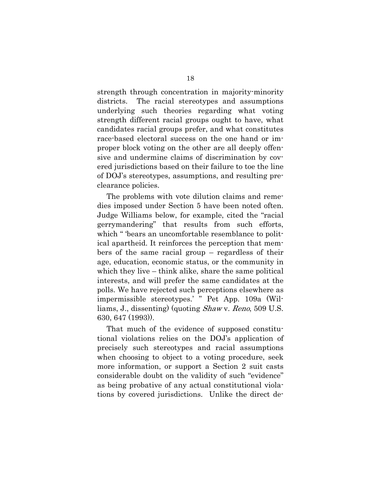strength through concentration in majority-minority districts. The racial stereotypes and assumptions underlying such theories regarding what voting strength different racial groups ought to have, what candidates racial groups prefer, and what constitutes race-based electoral success on the one hand or improper block voting on the other are all deeply offensive and undermine claims of discrimination by covered jurisdictions based on their failure to toe the line of DOJ's stereotypes, assumptions, and resulting preclearance policies.

The problems with vote dilution claims and remedies imposed under Section 5 have been noted often. Judge Williams below, for example, cited the "racial gerrymandering" that results from such efforts, which " 'bears an uncomfortable resemblance to political apartheid. It reinforces the perception that members of the same racial group – regardless of their age, education, economic status, or the community in which they live – think alike, share the same political interests, and will prefer the same candidates at the polls. We have rejected such perceptions elsewhere as impermissible stereotypes.' " Pet App. 109a (Williams, J., dissenting) (quoting Shaw v. Reno, 509 U.S. 630, 647 (1993)).

That much of the evidence of supposed constitutional violations relies on the DOJ's application of precisely such stereotypes and racial assumptions when choosing to object to a voting procedure, seek more information, or support a Section 2 suit casts considerable doubt on the validity of such "evidence" as being probative of any actual constitutional violations by covered jurisdictions. Unlike the direct de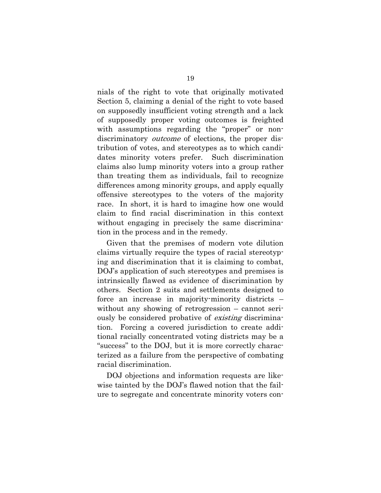nials of the right to vote that originally motivated Section 5, claiming a denial of the right to vote based on supposedly insufficient voting strength and a lack of supposedly proper voting outcomes is freighted with assumptions regarding the "proper" or nondiscriminatory *outcome* of elections, the proper distribution of votes, and stereotypes as to which candidates minority voters prefer. Such discrimination claims also lump minority voters into a group rather than treating them as individuals, fail to recognize differences among minority groups, and apply equally offensive stereotypes to the voters of the majority race. In short, it is hard to imagine how one would claim to find racial discrimination in this context without engaging in precisely the same discrimination in the process and in the remedy.

Given that the premises of modern vote dilution claims virtually require the types of racial stereotyping and discrimination that it is claiming to combat, DOJ's application of such stereotypes and premises is intrinsically flawed as evidence of discrimination by others. Section 2 suits and settlements designed to force an increase in majority-minority districts – without any showing of retrogression – cannot seriously be considered probative of existing discrimination. Forcing a covered jurisdiction to create additional racially concentrated voting districts may be a "success" to the DOJ, but it is more correctly characterized as a failure from the perspective of combating racial discrimination.

DOJ objections and information requests are likewise tainted by the DOJ's flawed notion that the failure to segregate and concentrate minority voters con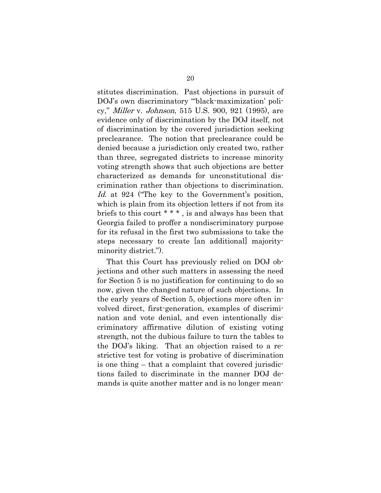stitutes discrimination. Past objections in pursuit of DOJ's own discriminatory "'black-maximization' policy," Miller v. Johnson, 515 U.S. 900, 921 (1995), are evidence only of discrimination by the DOJ itself, not of discrimination by the covered jurisdiction seeking preclearance. The notion that preclearance could be denied because a jurisdiction only created two, rather than three, segregated districts to increase minority voting strength shows that such objections are better characterized as demands for unconstitutional discrimination rather than objections to discrimination. Id. at 924 ("The key to the Government's position, which is plain from its objection letters if not from its briefs to this court \* \* \* , is and always has been that Georgia failed to proffer a nondiscriminatory purpose for its refusal in the first two submissions to take the steps necessary to create [an additional] majorityminority district.").

That this Court has previously relied on DOJ objections and other such matters in assessing the need for Section 5 is no justification for continuing to do so now, given the changed nature of such objections. In the early years of Section 5, objections more often involved direct, first-generation, examples of discrimination and vote denial, and even intentionally discriminatory affirmative dilution of existing voting strength, not the dubious failure to turn the tables to the DOJ's liking. That an objection raised to a restrictive test for voting is probative of discrimination is one thing – that a complaint that covered jurisdictions failed to discriminate in the manner DOJ demands is quite another matter and is no longer mean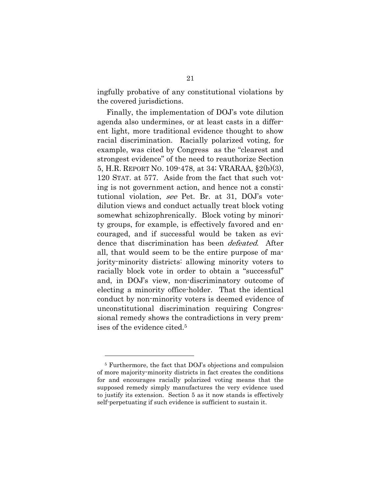ingfully probative of any constitutional violations by the covered jurisdictions.

Finally, the implementation of DOJ's vote dilution agenda also undermines, or at least casts in a different light, more traditional evidence thought to show racial discrimination. Racially polarized voting, for example, was cited by Congress as the "clearest and strongest evidence" of the need to reauthorize Section 5, H.R. REPORT NO. 109-478, at 34; VRARAA, §2(b)(3), 120 STAT. at 577. Aside from the fact that such voting is not government action, and hence not a constitutional violation, see Pet. Br. at 31, DOJ's votedilution views and conduct actually treat block voting somewhat schizophrenically. Block voting by minority groups, for example, is effectively favored and encouraged, and if successful would be taken as evidence that discrimination has been defeated. After all, that would seem to be the entire purpose of majority-minority districts: allowing minority voters to racially block vote in order to obtain a "successful" and, in DOJ's view, non-discriminatory outcome of electing a minority office-holder. That the identical conduct by non-minority voters is deemed evidence of unconstitutional discrimination requiring Congressional remedy shows the contradictions in very premises of the evidence cited.5

l

<sup>5</sup> Furthermore, the fact that DOJ's objections and compulsion of more majority-minority districts in fact creates the conditions for and encourages racially polarized voting means that the supposed remedy simply manufactures the very evidence used to justify its extension. Section 5 as it now stands is effectively self-perpetuating if such evidence is sufficient to sustain it.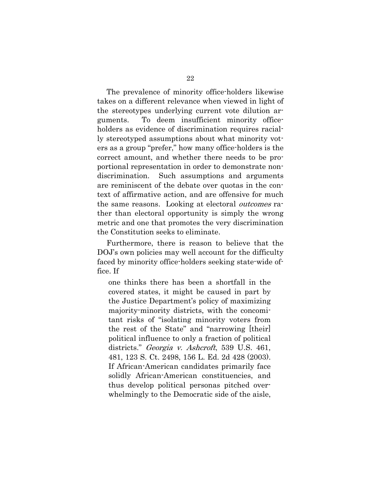The prevalence of minority office-holders likewise takes on a different relevance when viewed in light of the stereotypes underlying current vote dilution arguments. To deem insufficient minority officeholders as evidence of discrimination requires racially stereotyped assumptions about what minority voters as a group "prefer," how many office-holders is the correct amount, and whether there needs to be proportional representation in order to demonstrate nondiscrimination. Such assumptions and arguments are reminiscent of the debate over quotas in the context of affirmative action, and are offensive for much the same reasons. Looking at electoral *outcomes* rather than electoral opportunity is simply the wrong metric and one that promotes the very discrimination the Constitution seeks to eliminate.

Furthermore, there is reason to believe that the DOJ's own policies may well account for the difficulty faced by minority office-holders seeking state-wide office. If

one thinks there has been a shortfall in the covered states, it might be caused in part by the Justice Department's policy of maximizing majority-minority districts, with the concomitant risks of "isolating minority voters from the rest of the State" and "narrowing [their] political influence to only a fraction of political districts." Georgia v. Ashcroft, 539 U.S. 461, 481, 123 S. Ct. 2498, 156 L. Ed. 2d 428 (2003). If African-American candidates primarily face solidly African-American constituencies, and thus develop political personas pitched overwhelmingly to the Democratic side of the aisle,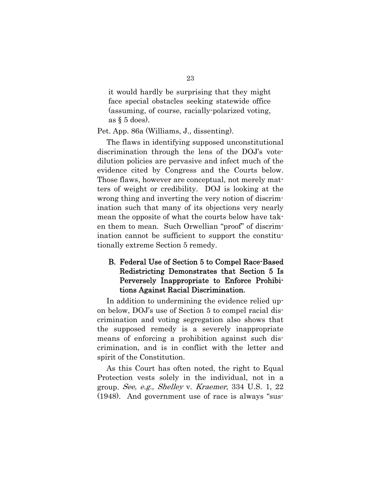it would hardly be surprising that they might face special obstacles seeking statewide office (assuming, of course, racially-polarized voting, as  $\S$  5 does).

Pet. App. 86a (Williams, J., dissenting).

The flaws in identifying supposed unconstitutional discrimination through the lens of the DOJ's votedilution policies are pervasive and infect much of the evidence cited by Congress and the Courts below. Those flaws, however are conceptual, not merely matters of weight or credibility. DOJ is looking at the wrong thing and inverting the very notion of discrimination such that many of its objections very nearly mean the opposite of what the courts below have taken them to mean. Such Orwellian "proof" of discrimination cannot be sufficient to support the constitutionally extreme Section 5 remedy.

### B. Federal Use of Section 5 to Compel Race-Based Redistricting Demonstrates that Section 5 Is Perversely Inappropriate to Enforce Prohibitions Against Racial Discrimination.

In addition to undermining the evidence relied upon below, DOJ's use of Section 5 to compel racial discrimination and voting segregation also shows that the supposed remedy is a severely inappropriate means of enforcing a prohibition against such discrimination, and is in conflict with the letter and spirit of the Constitution.

As this Court has often noted, the right to Equal Protection vests solely in the individual, not in a group. See, e.g., Shelley v. Kraemer, 334 U.S. 1, 22 (1948). And government use of race is always "sus-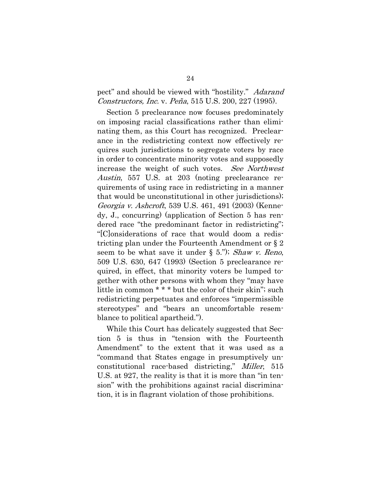### pect" and should be viewed with "hostility." Adarand Constructors, Inc. v. Peña, 515 U.S. 200, 227 (1995).

Section 5 preclearance now focuses predominately on imposing racial classifications rather than eliminating them, as this Court has recognized. Preclearance in the redistricting context now effectively requires such jurisdictions to segregate voters by race in order to concentrate minority votes and supposedly increase the weight of such votes. See Northwest Austin, 557 U.S. at 203 (noting preclearance requirements of using race in redistricting in a manner that would be unconstitutional in other jurisdictions); Georgia v. Ashcroft, 539 U.S. 461, 491 (2003) (Kennedy, J., concurring) (application of Section 5 has rendered race "the predominant factor in redistricting"; "[C]onsiderations of race that would doom a redistricting plan under the Fourteenth Amendment or § 2 seem to be what save it under  $\S$  5."); Shaw v. Reno, 509 U.S. 630, 647 (1993) (Section 5 preclearance required, in effect, that minority voters be lumped together with other persons with whom they "may have little in common \* \* \* but the color of their skin"; such redistricting perpetuates and enforces "impermissible stereotypes" and "bears an uncomfortable resemblance to political apartheid.").

While this Court has delicately suggested that Section 5 is thus in "tension with the Fourteenth Amendment" to the extent that it was used as a "command that States engage in presumptively unconstitutional race-based districting," Miller, 515 U.S. at 927, the reality is that it is more than "in tension" with the prohibitions against racial discrimination, it is in flagrant violation of those prohibitions.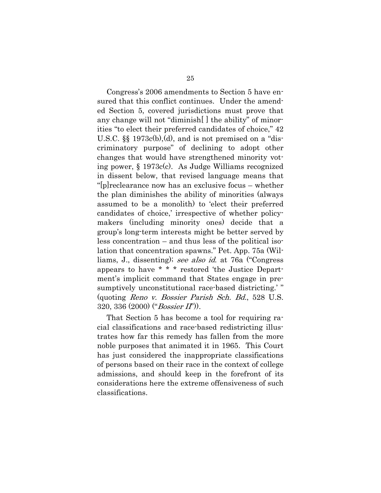Congress's 2006 amendments to Section 5 have ensured that this conflict continues. Under the amended Section 5, covered jurisdictions must prove that any change will not "diminish[ ] the ability" of minorities "to elect their preferred candidates of choice," 42 U.S.C. §§ 1973c(b),(d), and is not premised on a "discriminatory purpose" of declining to adopt other changes that would have strengthened minority voting power, § 1973c(c). As Judge Williams recognized in dissent below, that revised language means that "[p]reclearance now has an exclusive focus – whether the plan diminishes the ability of minorities (always assumed to be a monolith) to 'elect their preferred candidates of choice,' irrespective of whether policymakers (including minority ones) decide that a group's long-term interests might be better served by less concentration – and thus less of the political isolation that concentration spawns." Pet. App. 75a (Williams, J., dissenting); see also id. at 76a ("Congress appears to have \* \* \* restored 'the Justice Department's implicit command that States engage in presumptively unconstitutional race-based districting.'" (quoting Reno v. Bossier Parish Sch. Bd., 528 U.S.  $320, 336 (2000) ("Bosis' (I'.))$ 

That Section 5 has become a tool for requiring racial classifications and race-based redistricting illustrates how far this remedy has fallen from the more noble purposes that animated it in 1965. This Court has just considered the inappropriate classifications of persons based on their race in the context of college admissions, and should keep in the forefront of its considerations here the extreme offensiveness of such classifications.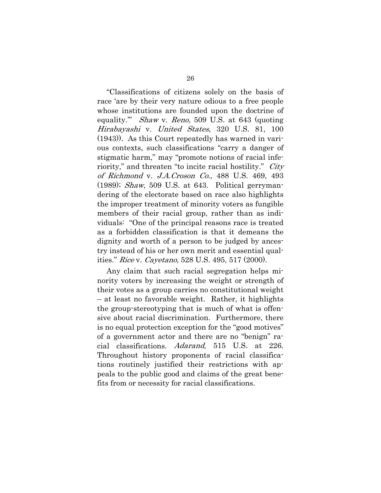"Classifications of citizens solely on the basis of race 'are by their very nature odious to a free people whose institutions are founded upon the doctrine of equality." Shaw v. Reno, 509 U.S. at 643 (quoting Hirabayashi v. United States, 320 U.S. 81, 100 (1943)). As this Court repeatedly has warned in various contexts, such classifications "carry a danger of stigmatic harm," may "promote notions of racial inferiority," and threaten "to incite racial hostility." *City* of Richmond v. J.A.Croson Co., 488 U.S. 469, 493  $(1989)$ ; *Shaw*, 509 U.S. at 643. Political gerrymandering of the electorate based on race also highlights the improper treatment of minority voters as fungible members of their racial group, rather than as individuals: "One of the principal reasons race is treated as a forbidden classification is that it demeans the dignity and worth of a person to be judged by ancestry instead of his or her own merit and essential qualities." Rice v. Cayetano, 528 U.S. 495, 517 (2000).

Any claim that such racial segregation helps minority voters by increasing the weight or strength of their votes as a group carries no constitutional weight – at least no favorable weight. Rather, it highlights the group-stereotyping that is much of what is offensive about racial discrimination. Furthermore, there is no equal protection exception for the "good motives" of a government actor and there are no "benign" racial classifications. Adarand, 515 U.S. at 226. Throughout history proponents of racial classifications routinely justified their restrictions with appeals to the public good and claims of the great benefits from or necessity for racial classifications.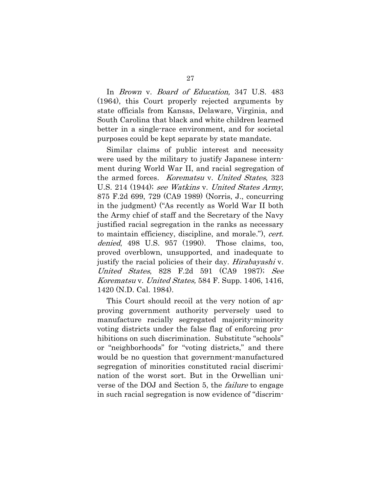In Brown v. Board of Education, 347 U.S. 483 (1964), this Court properly rejected arguments by state officials from Kansas, Delaware, Virginia, and South Carolina that black and white children learned better in a single-race environment, and for societal purposes could be kept separate by state mandate.

Similar claims of public interest and necessity were used by the military to justify Japanese internment during World War II, and racial segregation of the armed forces. Korematsu v. United States, 323 U.S. 214 (1944); see Watkins v. United States Army, 875 F.2d 699, 729 (CA9 1989) (Norris, J., concurring in the judgment) ("As recently as World War II both the Army chief of staff and the Secretary of the Navy justified racial segregation in the ranks as necessary to maintain efficiency, discipline, and morale."), cert. denied, 498 U.S. 957 (1990). Those claims, too, proved overblown, unsupported, and inadequate to justify the racial policies of their day. *Hirabayashi* v. United States, 828 F.2d 591 (CA9 1987); See Korematsu v. United States, 584 F. Supp. 1406, 1416, 1420 (N.D. Cal. 1984).

This Court should recoil at the very notion of approving government authority perversely used to manufacture racially segregated majority-minority voting districts under the false flag of enforcing prohibitions on such discrimination. Substitute "schools" or "neighborhoods" for "voting districts," and there would be no question that government-manufactured segregation of minorities constituted racial discrimination of the worst sort. But in the Orwellian universe of the DOJ and Section 5, the failure to engage in such racial segregation is now evidence of "discrim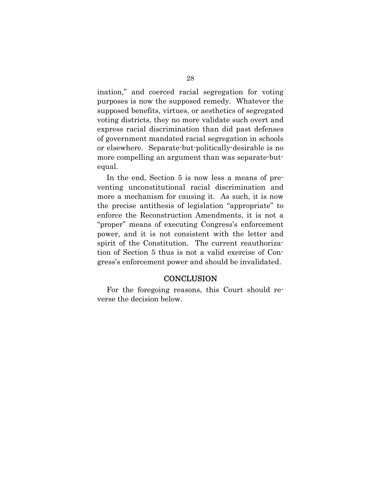ination," and coerced racial segregation for voting purposes is now the supposed remedy. Whatever the supposed benefits, virtues, or aesthetics of segregated voting districts, they no more validate such overt and express racial discrimination than did past defenses of government mandated racial segregation in schools or elsewhere. Separate-but-politically-desirable is no more compelling an argument than was separate-butequal.

In the end, Section 5 is now less a means of preventing unconstitutional racial discrimination and more a mechanism for causing it. As such, it is now the precise antithesis of legislation "appropriate" to enforce the Reconstruction Amendments, it is not a "proper" means of executing Congress's enforcement power, and it is not consistent with the letter and spirit of the Constitution. The current reauthorization of Section 5 thus is not a valid exercise of Congress's enforcement power and should be invalidated.

#### **CONCLUSION**

For the foregoing reasons, this Court should reverse the decision below.